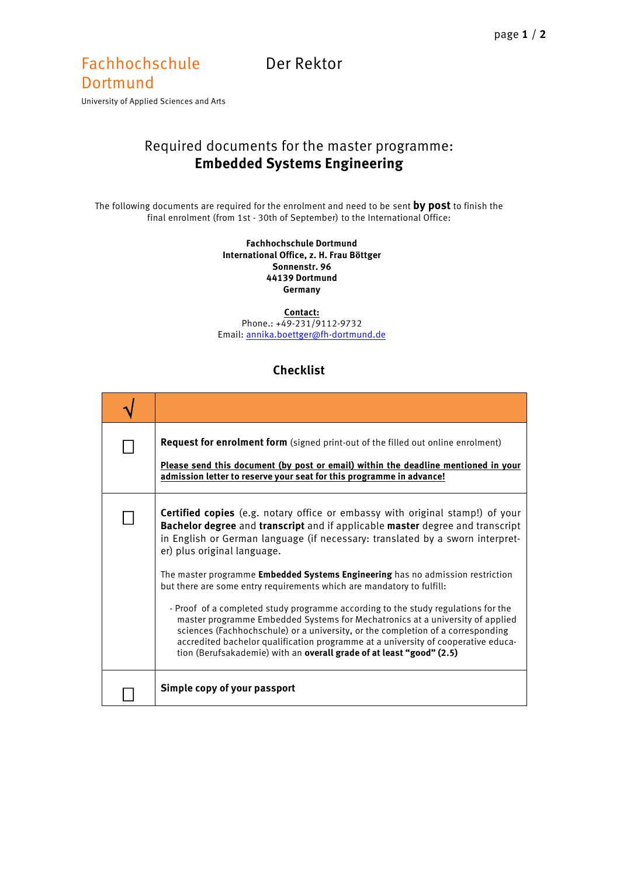## Fachhochschule Der Rektor **Dortmund**

University of Applied Sciences and Arts

## Required documents for the master programme: **Embedded Systems Engineering**

The following documents are required for the enrolment and need to be sent **by post** to finish the final enrolment (from 1st - 30th of September) to the International Office:

> **Fachhochschule Dortmund International Office, z. H. Frau Böttger Sonnenstr. 96 44139 Dortmund Germany**

**Contact:** Phone.: +49-231/9112-9732 Email[: annika.boettger@fh-dortmund.de](mailto:annika.boettger@fh-dortmund.de)

## **Checklist**

| <b>Request for enrolment form</b> (signed print-out of the filled out online enrolment)<br>Please send this document (by post or email) within the deadline mentioned in your<br>admission letter to reserve your seat for this programme in advance!                                                                                                                                                                                                                                                                                                                                                                                                                                                                                                                                                                                                                         |
|-------------------------------------------------------------------------------------------------------------------------------------------------------------------------------------------------------------------------------------------------------------------------------------------------------------------------------------------------------------------------------------------------------------------------------------------------------------------------------------------------------------------------------------------------------------------------------------------------------------------------------------------------------------------------------------------------------------------------------------------------------------------------------------------------------------------------------------------------------------------------------|
| <b>Certified copies</b> (e.g. notary office or embassy with original stamp!) of your<br>Bachelor degree and transcript and if applicable master degree and transcript<br>in English or German language (if necessary: translated by a sworn interpret-<br>er) plus original language.<br>The master programme <b>Embedded Systems Engineering</b> has no admission restriction<br>but there are some entry requirements which are mandatory to fulfill:<br>- Proof of a completed study programme according to the study regulations for the<br>master programme Embedded Systems for Mechatronics at a university of applied<br>sciences (Fachhochschule) or a university, or the completion of a corresponding<br>accredited bachelor qualification programme at a university of cooperative educa-<br>tion (Berufsakademie) with an overall grade of at least "good" (2.5) |
| Simple copy of your passport                                                                                                                                                                                                                                                                                                                                                                                                                                                                                                                                                                                                                                                                                                                                                                                                                                                  |